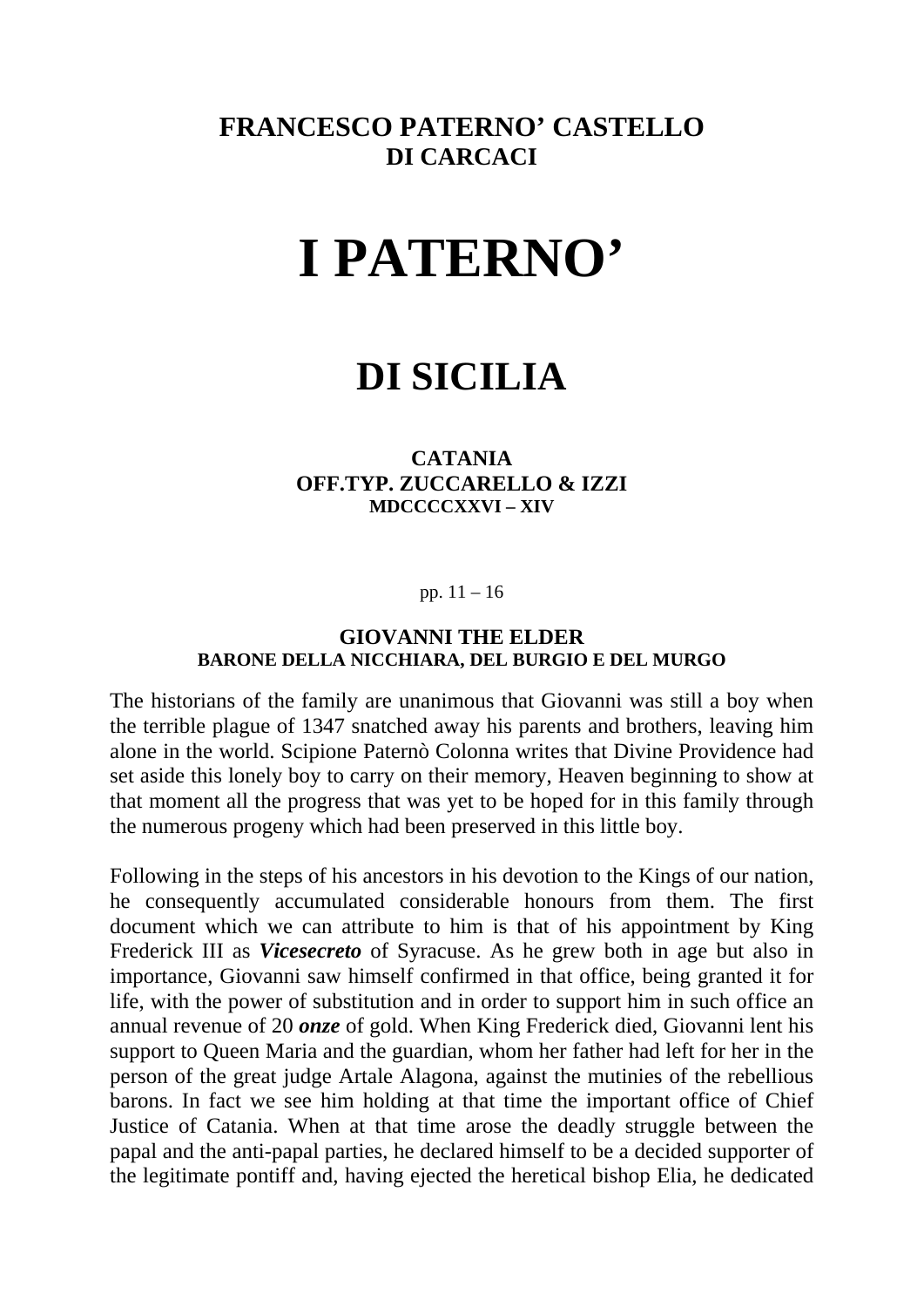### **FRANCESCO PATERNO' CASTELLO DI CARCACI**

# **I PATERNO'**

## **DI SICILIA**

### **CATANIA OFF.TYP. ZUCCARELLO & IZZI MDCCCCXXVI – XIV**

pp. 11 – 16

#### **GIOVANNI THE ELDER BARONE DELLA NICCHIARA, DEL BURGIO E DEL MURGO**

The historians of the family are unanimous that Giovanni was still a boy when the terrible plague of 1347 snatched away his parents and brothers, leaving him alone in the world. Scipione Paternò Colonna writes that Divine Providence had set aside this lonely boy to carry on their memory, Heaven beginning to show at that moment all the progress that was yet to be hoped for in this family through the numerous progeny which had been preserved in this little boy.

Following in the steps of his ancestors in his devotion to the Kings of our nation, he consequently accumulated considerable honours from them. The first document which we can attribute to him is that of his appointment by King Frederick III as *Vicesecreto* of Syracuse. As he grew both in age but also in importance, Giovanni saw himself confirmed in that office, being granted it for life, with the power of substitution and in order to support him in such office an annual revenue of 20 *onze* of gold. When King Frederick died, Giovanni lent his support to Queen Maria and the guardian, whom her father had left for her in the person of the great judge Artale Alagona, against the mutinies of the rebellious barons. In fact we see him holding at that time the important office of Chief Justice of Catania. When at that time arose the deadly struggle between the papal and the anti-papal parties, he declared himself to be a decided supporter of the legitimate pontiff and, having ejected the heretical bishop Elia, he dedicated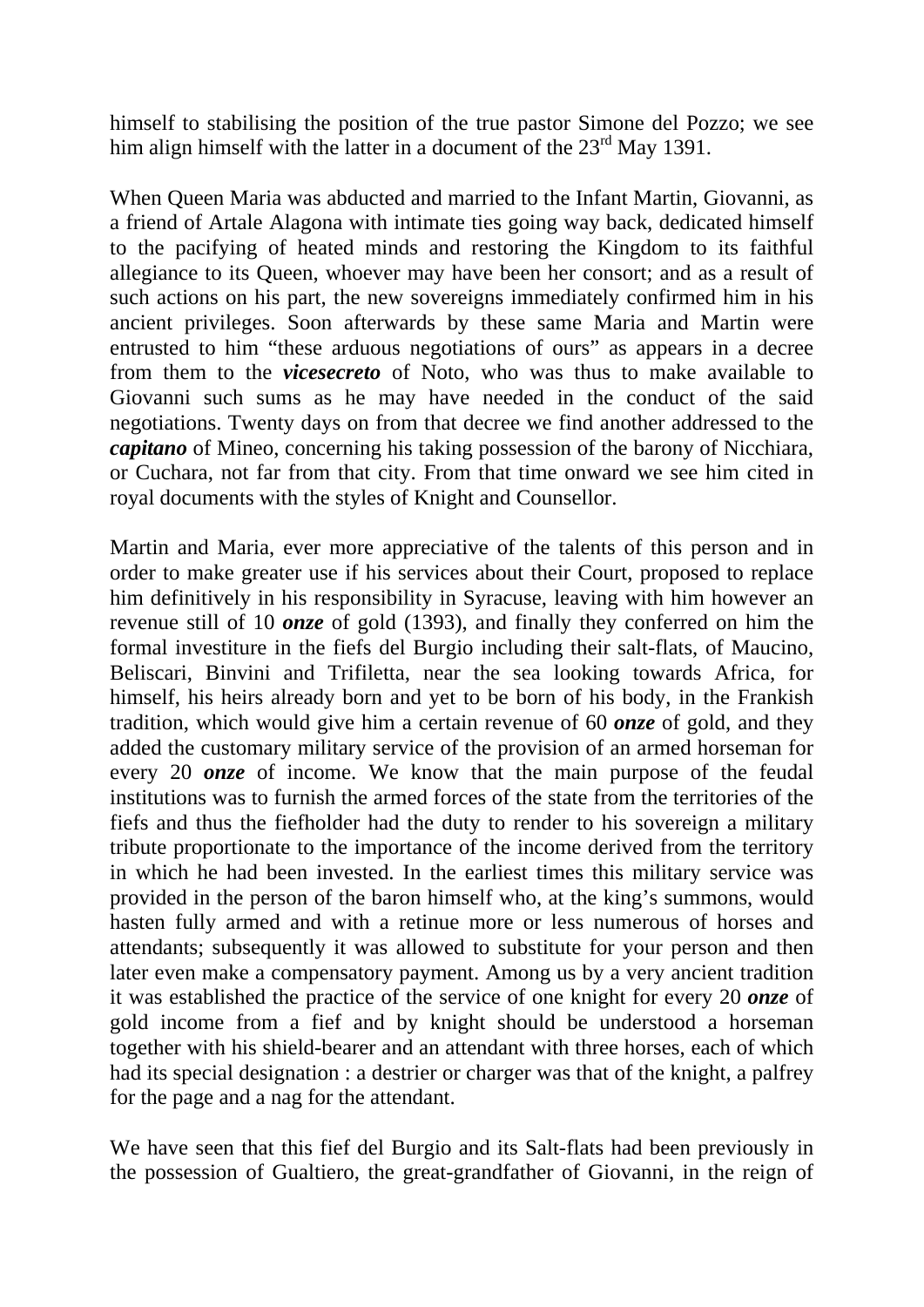himself to stabilising the position of the true pastor Simone del Pozzo; we see him align himself with the latter in a document of the 23<sup>rd</sup> May 1391.

When Queen Maria was abducted and married to the Infant Martin, Giovanni, as a friend of Artale Alagona with intimate ties going way back, dedicated himself to the pacifying of heated minds and restoring the Kingdom to its faithful allegiance to its Queen, whoever may have been her consort; and as a result of such actions on his part, the new sovereigns immediately confirmed him in his ancient privileges. Soon afterwards by these same Maria and Martin were entrusted to him "these arduous negotiations of ours" as appears in a decree from them to the *vicesecreto* of Noto, who was thus to make available to Giovanni such sums as he may have needed in the conduct of the said negotiations. Twenty days on from that decree we find another addressed to the *capitano* of Mineo, concerning his taking possession of the barony of Nicchiara, or Cuchara, not far from that city. From that time onward we see him cited in royal documents with the styles of Knight and Counsellor.

Martin and Maria, ever more appreciative of the talents of this person and in order to make greater use if his services about their Court, proposed to replace him definitively in his responsibility in Syracuse, leaving with him however an revenue still of 10 *onze* of gold (1393), and finally they conferred on him the formal investiture in the fiefs del Burgio including their salt-flats, of Maucino, Beliscari, Binvini and Trifiletta, near the sea looking towards Africa, for himself, his heirs already born and yet to be born of his body, in the Frankish tradition, which would give him a certain revenue of 60 *onze* of gold, and they added the customary military service of the provision of an armed horseman for every 20 *onze* of income. We know that the main purpose of the feudal institutions was to furnish the armed forces of the state from the territories of the fiefs and thus the fiefholder had the duty to render to his sovereign a military tribute proportionate to the importance of the income derived from the territory in which he had been invested. In the earliest times this military service was provided in the person of the baron himself who, at the king's summons, would hasten fully armed and with a retinue more or less numerous of horses and attendants; subsequently it was allowed to substitute for your person and then later even make a compensatory payment. Among us by a very ancient tradition it was established the practice of the service of one knight for every 20 *onze* of gold income from a fief and by knight should be understood a horseman together with his shield-bearer and an attendant with three horses, each of which had its special designation : a destrier or charger was that of the knight, a palfrey for the page and a nag for the attendant.

We have seen that this fief del Burgio and its Salt-flats had been previously in the possession of Gualtiero, the great-grandfather of Giovanni, in the reign of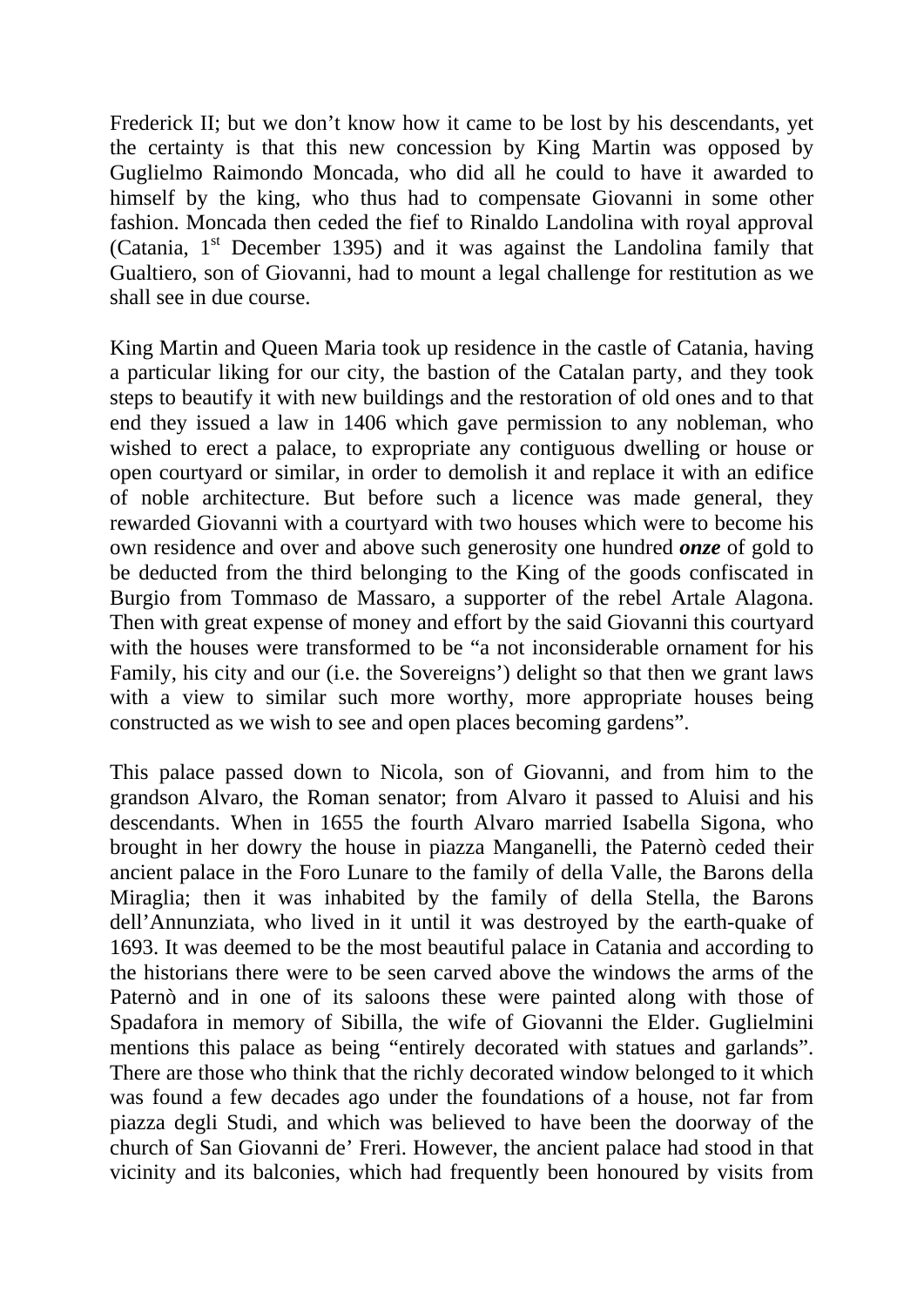Frederick II; but we don't know how it came to be lost by his descendants, yet the certainty is that this new concession by King Martin was opposed by Guglielmo Raimondo Moncada, who did all he could to have it awarded to himself by the king, who thus had to compensate Giovanni in some other fashion. Moncada then ceded the fief to Rinaldo Landolina with royal approval (Catania,  $1<sup>st</sup>$  December 1395) and it was against the Landolina family that Gualtiero, son of Giovanni, had to mount a legal challenge for restitution as we shall see in due course.

King Martin and Queen Maria took up residence in the castle of Catania, having a particular liking for our city, the bastion of the Catalan party, and they took steps to beautify it with new buildings and the restoration of old ones and to that end they issued a law in 1406 which gave permission to any nobleman, who wished to erect a palace, to expropriate any contiguous dwelling or house or open courtyard or similar, in order to demolish it and replace it with an edifice of noble architecture. But before such a licence was made general, they rewarded Giovanni with a courtyard with two houses which were to become his own residence and over and above such generosity one hundred *onze* of gold to be deducted from the third belonging to the King of the goods confiscated in Burgio from Tommaso de Massaro, a supporter of the rebel Artale Alagona. Then with great expense of money and effort by the said Giovanni this courtyard with the houses were transformed to be "a not inconsiderable ornament for his Family, his city and our (i.e. the Sovereigns') delight so that then we grant laws with a view to similar such more worthy, more appropriate houses being constructed as we wish to see and open places becoming gardens".

This palace passed down to Nicola, son of Giovanni, and from him to the grandson Alvaro, the Roman senator; from Alvaro it passed to Aluisi and his descendants. When in 1655 the fourth Alvaro married Isabella Sigona, who brought in her dowry the house in piazza Manganelli, the Paternò ceded their ancient palace in the Foro Lunare to the family of della Valle, the Barons della Miraglia; then it was inhabited by the family of della Stella, the Barons dell'Annunziata, who lived in it until it was destroyed by the earth-quake of 1693. It was deemed to be the most beautiful palace in Catania and according to the historians there were to be seen carved above the windows the arms of the Paternò and in one of its saloons these were painted along with those of Spadafora in memory of Sibilla, the wife of Giovanni the Elder. Guglielmini mentions this palace as being "entirely decorated with statues and garlands". There are those who think that the richly decorated window belonged to it which was found a few decades ago under the foundations of a house, not far from piazza degli Studi, and which was believed to have been the doorway of the church of San Giovanni de' Freri. However, the ancient palace had stood in that vicinity and its balconies, which had frequently been honoured by visits from